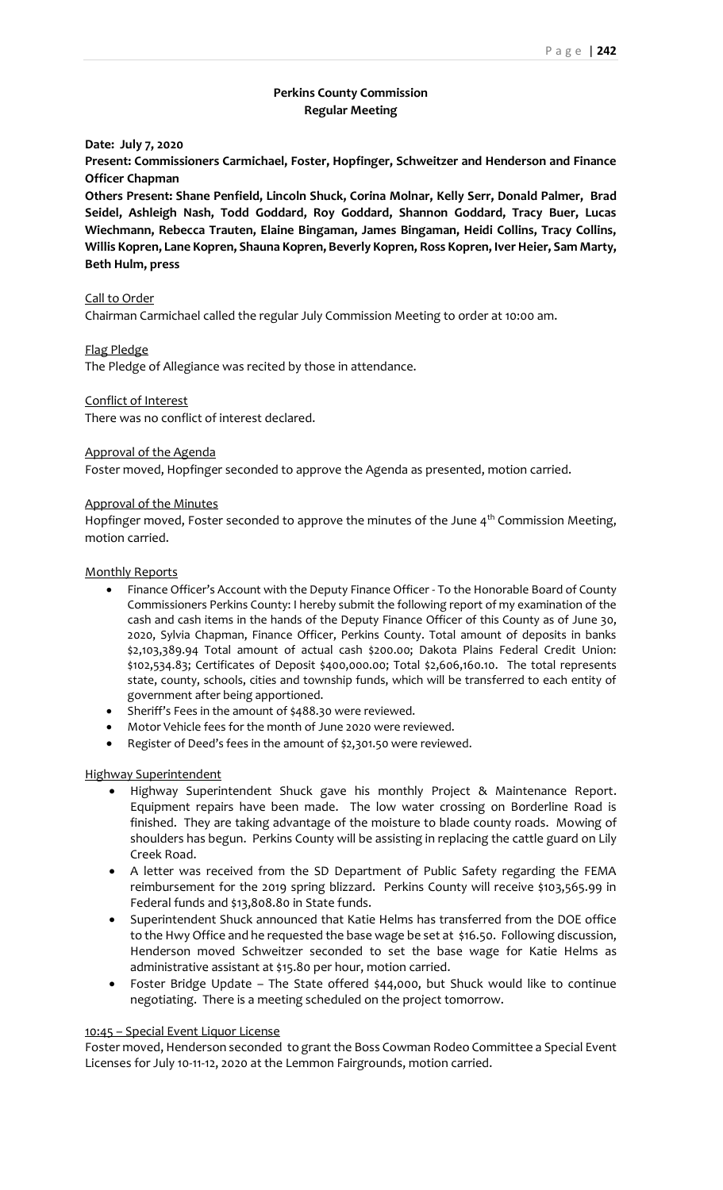# **Perkins County Commission Regular Meeting**

**Date: July 7, 2020**

**Present: Commissioners Carmichael, Foster, Hopfinger, Schweitzer and Henderson and Finance Officer Chapman**

**Others Present: Shane Penfield, Lincoln Shuck, Corina Molnar, Kelly Serr, Donald Palmer, Brad Seidel, Ashleigh Nash, Todd Goddard, Roy Goddard, Shannon Goddard, Tracy Buer, Lucas Wiechmann, Rebecca Trauten, Elaine Bingaman, James Bingaman, Heidi Collins, Tracy Collins, Willis Kopren, Lane Kopren, Shauna Kopren, Beverly Kopren, Ross Kopren, Iver Heier, Sam Marty, Beth Hulm, press**

## Call to Order

Chairman Carmichael called the regular July Commission Meeting to order at 10:00 am.

#### Flag Pledge

The Pledge of Allegiance was recited by those in attendance.

# Conflict of Interest

There was no conflict of interest declared.

### Approval of the Agenda

Foster moved, Hopfinger seconded to approve the Agenda as presented, motion carried.

### Approval of the Minutes

Hopfinger moved, Foster seconded to approve the minutes of the June  $4<sup>th</sup>$  Commission Meeting, motion carried.

# Monthly Reports

- Finance Officer's Account with the Deputy Finance Officer To the Honorable Board of County Commissioners Perkins County: I hereby submit the following report of my examination of the cash and cash items in the hands of the Deputy Finance Officer of this County as of June 30, 2020, Sylvia Chapman, Finance Officer, Perkins County. Total amount of deposits in banks \$2,103,389.94 Total amount of actual cash \$200.00; Dakota Plains Federal Credit Union: \$102,534.83; Certificates of Deposit \$400,000.00; Total \$2,606,160.10. The total represents state, county, schools, cities and township funds, which will be transferred to each entity of government after being apportioned.
- Sheriff's Fees in the amount of \$488.30 were reviewed.
- Motor Vehicle fees for the month of June 2020 were reviewed.
- Register of Deed's fees in the amount of \$2,301.50 were reviewed.

## Highway Superintendent

- Highway Superintendent Shuck gave his monthly Project & Maintenance Report. Equipment repairs have been made. The low water crossing on Borderline Road is finished. They are taking advantage of the moisture to blade county roads. Mowing of shoulders has begun. Perkins County will be assisting in replacing the cattle guard on Lily Creek Road.
- A letter was received from the SD Department of Public Safety regarding the FEMA reimbursement for the 2019 spring blizzard. Perkins County will receive \$103,565.99 in Federal funds and \$13,808.80 in State funds.
- Superintendent Shuck announced that Katie Helms has transferred from the DOE office to the Hwy Office and he requested the base wage be set at \$16.50. Following discussion, Henderson moved Schweitzer seconded to set the base wage for Katie Helms as administrative assistant at \$15.80 per hour, motion carried.
- Foster Bridge Update The State offered \$44,000, but Shuck would like to continue negotiating. There is a meeting scheduled on the project tomorrow.

#### 10:45 – Special Event Liquor License

Foster moved, Henderson seconded to grant the Boss Cowman Rodeo Committee a Special Event Licenses for July 10-11-12, 2020 at the Lemmon Fairgrounds, motion carried.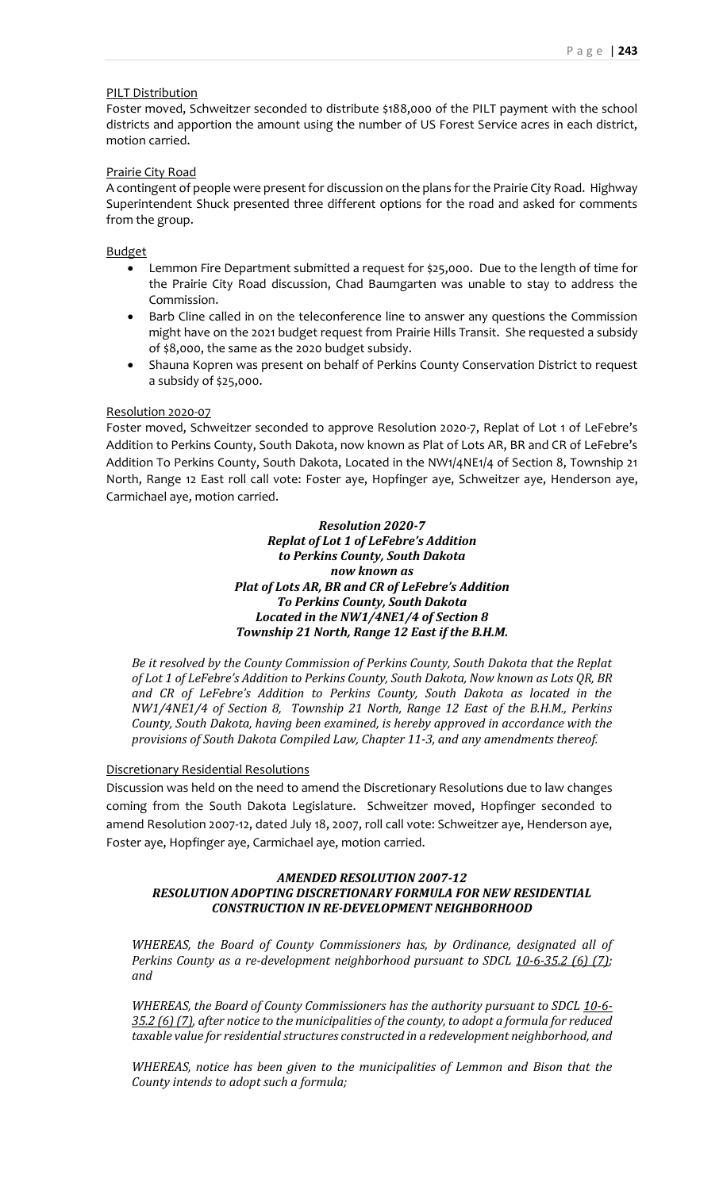### PILT Distribution

Foster moved, Schweitzer seconded to distribute \$188,000 of the PILT payment with the school districts and apportion the amount using the number of US Forest Service acres in each district, motion carried.

### Prairie City Road

A contingent of people were present for discussion on the plans for the Prairie City Road. Highway Superintendent Shuck presented three different options for the road and asked for comments from the group.

Budget

- Lemmon Fire Department submitted a request for \$25,000. Due to the length of time for the Prairie City Road discussion, Chad Baumgarten was unable to stay to address the Commission.
- Barb Cline called in on the teleconference line to answer any questions the Commission might have on the 2021 budget request from Prairie Hills Transit. She requested a subsidy of \$8,000, the same as the 2020 budget subsidy.
- Shauna Kopren was present on behalf of Perkins County Conservation District to request a subsidy of \$25,000.

#### Resolution 2020-07

Foster moved, Schweitzer seconded to approve Resolution 2020-7, Replat of Lot 1 of LeFebre's Addition to Perkins County, South Dakota, now known as Plat of Lots AR, BR and CR of LeFebre's Addition To Perkins County, South Dakota, Located in the NW1/4NE1/4 of Section 8, Township 21 North, Range 12 East roll call vote: Foster aye, Hopfinger aye, Schweitzer aye, Henderson aye, Carmichael aye, motion carried.

> *Resolution 2020-7 Replat of Lot 1 of LeFebre's Addition to Perkins County, South Dakota now known as Plat of Lots AR, BR and CR of LeFebre's Addition To Perkins County, South Dakota Located in the NW1/4NE1/4 of Section 8 Township 21 North, Range 12 East if the B.H.M.*

*Be it resolved by the County Commission of Perkins County, South Dakota that the Replat of Lot 1 of LeFebre's Addition to Perkins County, South Dakota, Now known as Lots QR, BR and CR of LeFebre's Addition to Perkins County, South Dakota as located in the NW1/4NE1/4 of Section 8, Township 21 North, Range 12 East of the B.H.M., Perkins County, South Dakota, having been examined, is hereby approved in accordance with the provisions of South Dakota Compiled Law, Chapter 11-3, and any amendments thereof.*

### Discretionary Residential Resolutions

Discussion was held on the need to amend the Discretionary Resolutions due to law changes coming from the South Dakota Legislature. Schweitzer moved, Hopfinger seconded to amend Resolution 2007-12, dated July 18, 2007, roll call vote: Schweitzer aye, Henderson aye, Foster aye, Hopfinger aye, Carmichael aye, motion carried.

## *AMENDED RESOLUTION 2007-12 RESOLUTION ADOPTING DISCRETIONARY FORMULA FOR NEW RESIDENTIAL CONSTRUCTION IN RE-DEVELOPMENT NEIGHBORHOOD*

*WHEREAS, the Board of County Commissioners has, by Ordinance, designated all of Perkins County as a re-development neighborhood pursuant to SDCL 10-6-35.2 (6) (7); and* 

*WHEREAS, the Board of County Commissioners has the authority pursuant to SDCL 10-6- 35.2 (6) (7), after notice to the municipalities of the county, to adopt a formula for reduced taxable value for residential structures constructed in a redevelopment neighborhood, and* 

*WHEREAS, notice has been given to the municipalities of Lemmon and Bison that the County intends to adopt such a formula;*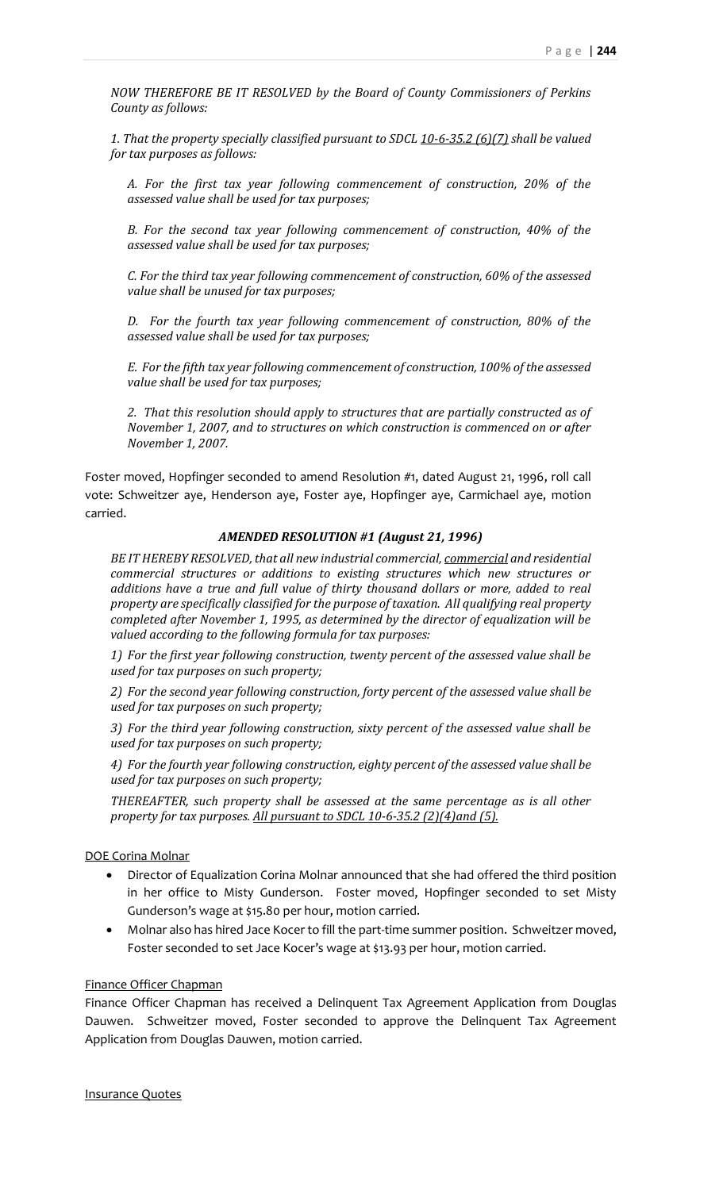*NOW THEREFORE BE IT RESOLVED by the Board of County Commissioners of Perkins County as follows:*

*1. That the property specially classified pursuant to SDCL 10-6-35.2 (6)(7) shall be valued for tax purposes as follows:*

*A. For the first tax year following commencement of construction, 20% of the assessed value shall be used for tax purposes;*

*B. For the second tax year following commencement of construction, 40% of the assessed value shall be used for tax purposes;*

*C. For the third tax year following commencement of construction, 60% of the assessed value shall be unused for tax purposes;*

*D. For the fourth tax year following commencement of construction, 80% of the assessed value shall be used for tax purposes;*

*E. For the fifth tax year following commencement of construction, 100% of the assessed value shall be used for tax purposes;*

*2. That this resolution should apply to structures that are partially constructed as of November 1, 2007, and to structures on which construction is commenced on or after November 1, 2007.*

Foster moved, Hopfinger seconded to amend Resolution #1, dated August 21, 1996, roll call vote: Schweitzer aye, Henderson aye, Foster aye, Hopfinger aye, Carmichael aye, motion carried.

## *AMENDED RESOLUTION #1 (August 21, 1996)*

*BE IT HEREBY RESOLVED, that all new industrial commercial, commercial and residential commercial structures or additions to existing structures which new structures or additions have a true and full value of thirty thousand dollars or more, added to real property are specifically classified for the purpose of taxation. All qualifying real property completed after November 1, 1995, as determined by the director of equalization will be valued according to the following formula for tax purposes:*

*1) For the first year following construction, twenty percent of the assessed value shall be used for tax purposes on such property;*

*2) For the second year following construction, forty percent of the assessed value shall be used for tax purposes on such property;*

*3) For the third year following construction, sixty percent of the assessed value shall be used for tax purposes on such property;*

*4) For the fourth year following construction, eighty percent of the assessed value shall be used for tax purposes on such property;*

*THEREAFTER, such property shall be assessed at the same percentage as is all other property for tax purposes. All pursuant to SDCL 10-6-35.2 (2)(4)and (5).*

### DOE Corina Molnar

- Director of Equalization Corina Molnar announced that she had offered the third position in her office to Misty Gunderson. Foster moved, Hopfinger seconded to set Misty Gunderson's wage at \$15.80 per hour, motion carried.
- Molnar also has hired Jace Kocer to fill the part-time summer position. Schweitzer moved, Foster seconded to set Jace Kocer's wage at \$13.93 per hour, motion carried.

# Finance Officer Chapman

Finance Officer Chapman has received a Delinquent Tax Agreement Application from Douglas Dauwen. Schweitzer moved, Foster seconded to approve the Delinquent Tax Agreement Application from Douglas Dauwen, motion carried.

Insurance Quotes